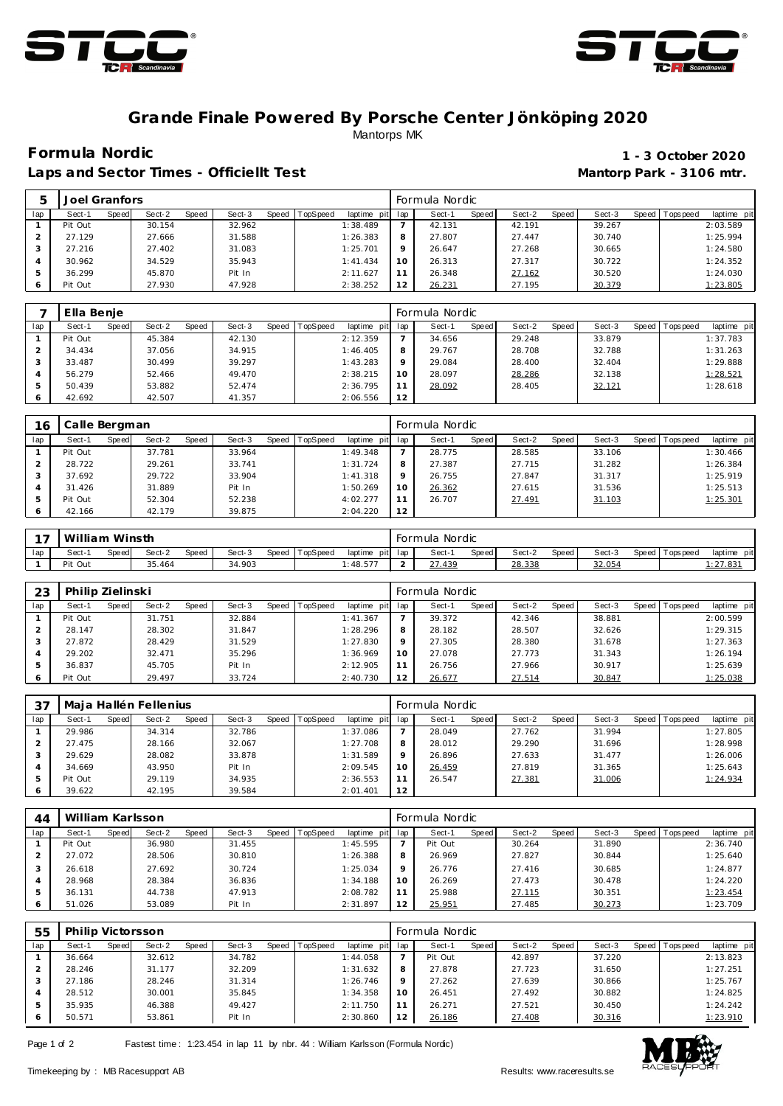



## **Grande Finale Powered By Porsche Center Jönköping 2020** Mantorps MK

Laps and Sector Times - Officiellt Test **Mantorp Park - 3106 mtr.** 

## **Formula Nordic 1 - 3 October 2020**

|     | Joel Granfors |       |        |              |        |       |                 |             |          | Formula Nordic |       |        |       |        |         |            |             |
|-----|---------------|-------|--------|--------------|--------|-------|-----------------|-------------|----------|----------------|-------|--------|-------|--------|---------|------------|-------------|
| lap | Sect-1        | Speed | Sect-2 | <b>Speed</b> | Sect-3 | Speed | <b>TopSpeed</b> | laptime pit | lap      | Sect-1         | Speed | Sect-2 | Speed | Sect-3 | Speed I | T ops peed | laptime pit |
|     | Pit Out       |       | 30.154 |              | 32.962 |       |                 | 1:38.489    |          | 42.131         |       | 42.191 |       | 39.267 |         |            | 2:03.589    |
|     | 27.129        |       | 27.666 |              | 31.588 |       |                 | 1:26.383    | 8        | 27.807         |       | 27.447 |       | 30.740 |         |            | 1:25.994    |
|     | 27.216        |       | 27.402 |              | 31.083 |       |                 | 1:25.701    | $\Omega$ | 26.647         |       | 27.268 |       | 30.665 |         |            | 1:24.580    |
|     | 30.962        |       | 34.529 |              | 35.943 |       |                 | 1: 41.434   | 10       | 26.313         |       | 27.317 |       | 30.722 |         |            | 1:24.352    |
|     | 36.299        |       | 45.870 |              | Pit In |       |                 | 2:11.627    |          | 26.348         |       | 27.162 |       | 30.520 |         |            | 1:24.030    |
|     | Pit Out       |       | 27.930 |              | 47.928 |       |                 | 2:38.252    | 12       | 26.231         |       | 27.195 |       | 30.379 |         |            | 1:23.805    |

|              | Ella Benje |       |        |       |        |       |          |             |         | Formula Nordic |       |        |       |        |         |           |             |
|--------------|------------|-------|--------|-------|--------|-------|----------|-------------|---------|----------------|-------|--------|-------|--------|---------|-----------|-------------|
| lap          | Sect-1     | Speed | Sect-2 | Speed | Sect-3 | Speed | TopSpeed | laptime pit | lap     | Sect-1         | Speed | Sect-2 | Speed | Sect-3 | Speed I | Tops peed | laptime pit |
|              | Pit Out    |       | 45.384 |       | 42.130 |       |          | 2:12.359    |         | 34.656         |       | 29.248 |       | 33.879 |         |           | 1:37.783    |
|              | 34.434     |       | 37.056 |       | 34.915 |       |          | 1:46.405    | 8       | 29.767         |       | 28.708 |       | 32.788 |         |           | 1:31.263    |
| 3            | 33.487     |       | 30.499 |       | 39.297 |       |          | 1:43.283    | $\circ$ | 29.084         |       | 28,400 |       | 32.404 |         |           | 1:29.888    |
|              | 56.279     |       | 52.466 |       | 49.470 |       |          | 2:38.215    | 10      | 28.097         |       | 28.286 |       | 32.138 |         |           | 1:28.521    |
|              | 50.439     |       | 53.882 |       | 52.474 |       |          | 2:36.795    | 11      | 28.092         |       | 28.405 |       | 32.121 |         |           | 1:28.618    |
| <sup>6</sup> | 42.692     |       | 42.507 |       | 41.357 |       |          | 2:06.556    | 12      |                |       |        |       |        |         |           |             |

| 16  | Calle Bergman |       |        |       |        |       |                 |             |         | Formula Nordic |       |        |       |        |                 |             |
|-----|---------------|-------|--------|-------|--------|-------|-----------------|-------------|---------|----------------|-------|--------|-------|--------|-----------------|-------------|
| lap | Sect-1        | Speed | Sect-2 | Speed | Sect-3 | Speed | <b>TopSpeed</b> | laptime pit | lap     | Sect-1         | Speed | Sect-2 | Speed | Sect-3 | Speed Tops peed | laptime pit |
|     | Pit Out       |       | 37.781 |       | 33.964 |       |                 | 1:49.348    |         | 28.775         |       | 28.585 |       | 33.106 |                 | 1:30.466    |
|     | 28.722        |       | 29.261 |       | 33.741 |       |                 | 1:31.724    | 8       | 27.387         |       | 27.715 |       | 31.282 |                 | 1:26.384    |
|     | 37.692        |       | 29.722 |       | 33.904 |       |                 | 1:41.318    | $\circ$ | 26.755         |       | 27.847 |       | 31.317 |                 | 1:25.919    |
|     | 31.426        |       | 31.889 |       | Pit In |       |                 | 1:50.269    | 10      | 26.362         |       | 27.615 |       | 31.536 |                 | 1:25.513    |
|     | Pit Out       |       | 52.304 |       | 52.238 |       |                 | 4:02.277    |         | 26.707         |       | 27.491 |       | 31.103 |                 | 1:25.301    |
|     | 42.166        |       | 42.179 |       | 39.875 |       |                 | 2:04.220    | 12      |                |       |        |       |        |                 |             |

| $\sim$ $\sim$ | William Winsth |        |        |       |        |       |          |         |         | Formula Nordic |       |        |       |        |           |            |                        |
|---------------|----------------|--------|--------|-------|--------|-------|----------|---------|---------|----------------|-------|--------|-------|--------|-----------|------------|------------------------|
| lap           | Sect-1         | Speed. | Sect-2 | Speed | Sect-3 | Speed | TopSpeed | laptime | pit lap | Sect-          | Speed | Sect-2 | Speed | Sect-3 | Speed   T | Tops pee a | laptime pit            |
|               | Pit Out        |        | 35.464 |       | 34.903 |       |          | 1:48.57 |         | .439           |       | 28.338 |       | 32.054 |           |            | $: 27.83$ <sup>*</sup> |

| 23  | Philip Zielinski |       |        |       |        |       |          |                 |         | Formula Nordic |              |        |       |        |                |             |
|-----|------------------|-------|--------|-------|--------|-------|----------|-----------------|---------|----------------|--------------|--------|-------|--------|----------------|-------------|
| lap | Sect-1           | Speed | Sect-2 | Speed | Sect-3 | Speed | TopSpeed | laptime pit lap |         | Sect-1         | <b>Speed</b> | Sect-2 | Speed | Sect-3 | Speed Topspeed | laptime pit |
|     | Pit Out          |       | 31.751 |       | 32.884 |       |          | 1: 41.367       |         | 39.372         |              | 42.346 |       | 38.881 |                | 2:00.599    |
|     | 28.147           |       | 28.302 |       | 31.847 |       |          | 1:28.296        | 8       | 28.182         |              | 28.507 |       | 32.626 |                | 1:29.315    |
| 3   | 27.872           |       | 28.429 |       | 31.529 |       |          | 1:27.830        | $\circ$ | 27.305         |              | 28.380 |       | 31.678 |                | 1:27.363    |
|     | 29.202           |       | 32.471 |       | 35.296 |       |          | 1:36.969        | 10      | 27.078         |              | 27.773 |       | 31.343 |                | 1:26.194    |
|     | 36.837           |       | 45.705 |       | Pit In |       |          | 2:12.905        | 11      | 26.756         |              | 27.966 |       | 30.917 |                | 1:25.639    |
| O   | Pit Out          |       | 29.497 |       | 33.724 |       |          | 2:40.730        | 12      | 26.677         |              | 27.514 |       | 30.847 |                | 1:25.038    |

| 37  |         |       | Maja Hallén Fellenius |       |        |       |          |             |         | Formula Nordic |              |        |       |        |                |             |
|-----|---------|-------|-----------------------|-------|--------|-------|----------|-------------|---------|----------------|--------------|--------|-------|--------|----------------|-------------|
| lap | Sect-1  | Speed | Sect-2                | Speed | Sect-3 | Speed | TopSpeed | laptime pit | lap     | Sect-1         | <b>Speed</b> | Sect-2 | Speed | Sect-3 | Speed Topspeed | laptime pit |
|     | 29.986  |       | 34.314                |       | 32.786 |       |          | 1:37.086    |         | 28.049         |              | 27.762 |       | 31.994 |                | 1:27.805    |
|     | 27.475  |       | 28.166                |       | 32.067 |       |          | 1:27.708    | 8       | 28.012         |              | 29.290 |       | 31.696 |                | 1:28.998    |
|     | 29.629  |       | 28.082                |       | 33.878 |       |          | 1:31.589    | $\circ$ | 26.896         |              | 27.633 |       | 31.477 |                | 1:26.006    |
|     | 34.669  |       | 43.950                |       | Pit In |       |          | 2:09.545    | 10      | 26.459         |              | 27.819 |       | 31.365 |                | 1:25.643    |
|     | Pit Out |       | 29.119                |       | 34.935 |       |          | 2:36.553    | 11      | 26.547         |              | 27.381 |       | 31.006 |                | 1:24.934    |
|     | 39.622  |       | 42.195                |       | 39.584 |       |          | 2:01.401    | 12      |                |              |        |       |        |                |             |

| 44  | William Karlsson |       |        |       |        |       |                 |             |         | Formula Nordic |       |        |       |        |       |            |             |
|-----|------------------|-------|--------|-------|--------|-------|-----------------|-------------|---------|----------------|-------|--------|-------|--------|-------|------------|-------------|
| lap | Sect-1           | Speed | Sect-2 | Speed | Sect-3 | Speed | <b>TopSpeed</b> | laptime pit | lap     | Sect-1         | Speed | Sect-2 | Speed | Sect-3 | Speed | Tops pee d | laptime pit |
|     | Pit Out          |       | 36.980 |       | 31.455 |       |                 | 1:45.595    |         | Pit Out        |       | 30.264 |       | 31.890 |       |            | 2:36.740    |
|     | 27.072           |       | 28.506 |       | 30.810 |       |                 | 1:26.388    | 8       | 26.969         |       | 27.827 |       | 30.844 |       |            | 1:25.640    |
|     | 26.618           |       | 27.692 |       | 30.724 |       |                 | 1:25.034    | $\circ$ | 26.776         |       | 27.416 |       | 30.685 |       |            | 1:24.877    |
|     | 28.968           |       | 28.384 |       | 36.836 |       |                 | 1:34.188    | 10      | 26.269         |       | 27.473 |       | 30.478 |       |            | 1:24.220    |
|     | 36.131           |       | 44.738 |       | 47.913 |       |                 | 2:08.782    | 11      | 25.988         |       | 27.115 |       | 30.351 |       |            | 1:23.454    |
|     | 51.026           |       | 53.089 |       | Pit In |       |                 | 2:31.897    | 12      | 25.951         |       | 27.485 |       | 30.273 |       |            | 1:23.709    |

| 55  | Philip Victorsson |       |        |       |        |       |                 |             |              | Formula Nordic |       |        |       |        |                 |             |
|-----|-------------------|-------|--------|-------|--------|-------|-----------------|-------------|--------------|----------------|-------|--------|-------|--------|-----------------|-------------|
| lap | Sect-1            | Speed | Sect-2 | Speed | Sect-3 | Speed | <b>TopSpeed</b> | laptime pit | lap          | Sect-1         | Speed | Sect-2 | Speed | Sect-3 | Speed Tops peed | laptime pit |
|     | 36.664            |       | 32.612 |       | 34.782 |       |                 | 1:44.058    |              | Pit Out        |       | 42.897 |       | 37.220 |                 | 2:13.823    |
|     | 28.246            |       | 31.177 |       | 32.209 |       |                 | 1:31.632    | $\circ$<br>Õ | 27.878         |       | 27.723 |       | 31.650 |                 | 1:27.251    |
|     | 27.186            |       | 28.246 |       | 31.314 |       |                 | 1:26.746    | O            | 27.262         |       | 27.639 |       | 30.866 |                 | 1:25.767    |
|     | 28.512            |       | 30.001 |       | 35.845 |       |                 | 1:34.358    | 10           | 26.451         |       | 27.492 |       | 30.882 |                 | 1:24.825    |
|     | 35.935            |       | 46.388 |       | 49.427 |       |                 | 2:11.750    |              | 26.271         |       | 27.521 |       | 30.450 |                 | 1:24.242    |
|     | 50.571            |       | 53.861 |       | Pit In |       |                 | 2:30.860    | 12           | 26.186         |       | 27.408 |       | 30.316 |                 | 1:23.910    |

Page 1 of 2 Fastest time: 1:23.454 in lap 11 by nbr. 44 : William Karlsson (Formula Nordic)